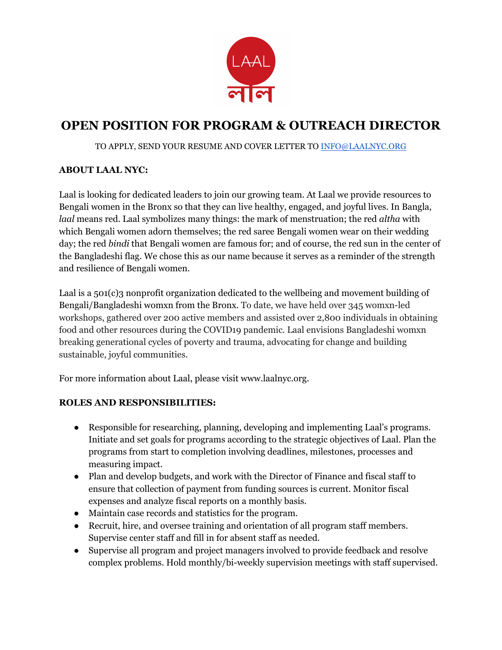

# **OPEN POSITION FOR PROGRAM & OUTREACH DIRECTOR**

#### TO APPLY, SEND YOUR RESUME AND COVER LETTER TO [INFO@LAALNYC.ORG](mailto:INFO@LAALNYC.ORG)

### **ABOUT LAAL NYC:**

Laal is looking for dedicated leaders to join our growing team. At Laal we provide resources to Bengali women in the Bronx so that they can live healthy, engaged, and joyful lives. In Bangla, *laal* means red. Laal symbolizes many things: the mark of menstruation; the red *altha* with which Bengali women adorn themselves; the red saree Bengali women wear on their wedding day; the red *bindi* that Bengali women are famous for; and of course, the red sun in the center of the Bangladeshi flag. We chose this as our name because it serves as a reminder of the strength and resilience of Bengali women.

Laal is a 501(c)3 nonprofit organization dedicated to the wellbeing and movement building of Bengali/Bangladeshi womxn from the Bronx. To date, we have held over 345 womxn-led workshops, gathered over 200 active members and assisted over 2,800 individuals in obtaining food and other resources during the COVID19 pandemic. Laal envisions Bangladeshi womxn breaking generational cycles of poverty and trauma, advocating for change and building sustainable, joyful communities.

For more information about Laal, please visit www.laalnyc.org.

### **ROLES AND RESPONSIBILITIES:**

- Responsible for researching, planning, developing and implementing Laal's programs. Initiate and set goals for programs according to the strategic objectives of Laal. Plan the programs from start to completion involving deadlines, milestones, processes and measuring impact.
- Plan and develop budgets, and work with the Director of Finance and fiscal staff to ensure that collection of payment from funding sources is current. Monitor fiscal expenses and analyze fiscal reports on a monthly basis.
- Maintain case records and statistics for the program.
- Recruit, hire, and oversee training and orientation of all program staff members. Supervise center staff and fill in for absent staff as needed.
- Supervise all program and project managers involved to provide feedback and resolve complex problems. Hold monthly/bi-weekly supervision meetings with staff supervised.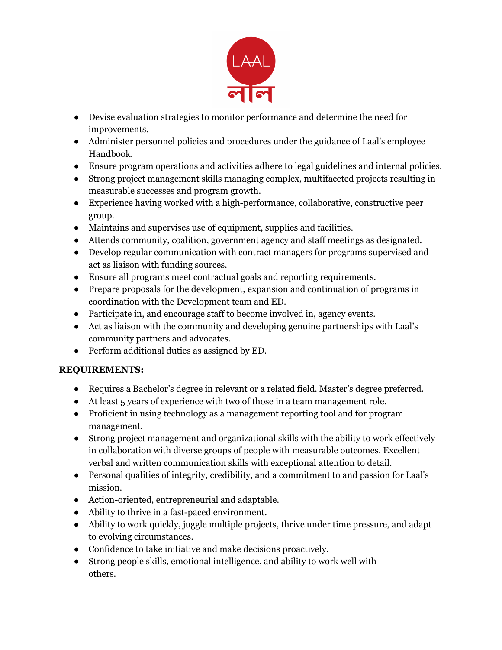

- Devise evaluation strategies to monitor performance and determine the need for improvements.
- Administer personnel policies and procedures under the guidance of Laal's employee Handbook.
- Ensure program operations and activities adhere to legal guidelines and internal policies.
- Strong project management skills managing complex, multifaceted projects resulting in measurable successes and program growth.
- Experience having worked with a high-performance, collaborative, constructive peer group.
- Maintains and supervises use of equipment, supplies and facilities.
- Attends community, coalition, government agency and staff meetings as designated.
- Develop regular communication with contract managers for programs supervised and act as liaison with funding sources.
- Ensure all programs meet contractual goals and reporting requirements.
- Prepare proposals for the development, expansion and continuation of programs in coordination with the Development team and ED.
- Participate in, and encourage staff to become involved in, agency events.
- Act as liaison with the community and developing genuine partnerships with Laal's community partners and advocates.
- Perform additional duties as assigned by ED.

## **REQUIREMENTS:**

- Requires a Bachelor's degree in relevant or a related field. Master's degree preferred.
- At least 5 years of experience with two of those in a team management role.
- Proficient in using technology as a management reporting tool and for program management.
- Strong project management and organizational skills with the ability to work effectively in collaboration with diverse groups of people with measurable outcomes. Excellent verbal and written communication skills with exceptional attention to detail.
- Personal qualities of integrity, credibility, and a commitment to and passion for Laal's mission.
- Action-oriented, entrepreneurial and adaptable.
- Ability to thrive in a fast-paced environment.
- Ability to work quickly, juggle multiple projects, thrive under time pressure, and adapt to evolving circumstances.
- Confidence to take initiative and make decisions proactively.
- Strong people skills, emotional intelligence, and ability to work well with others.